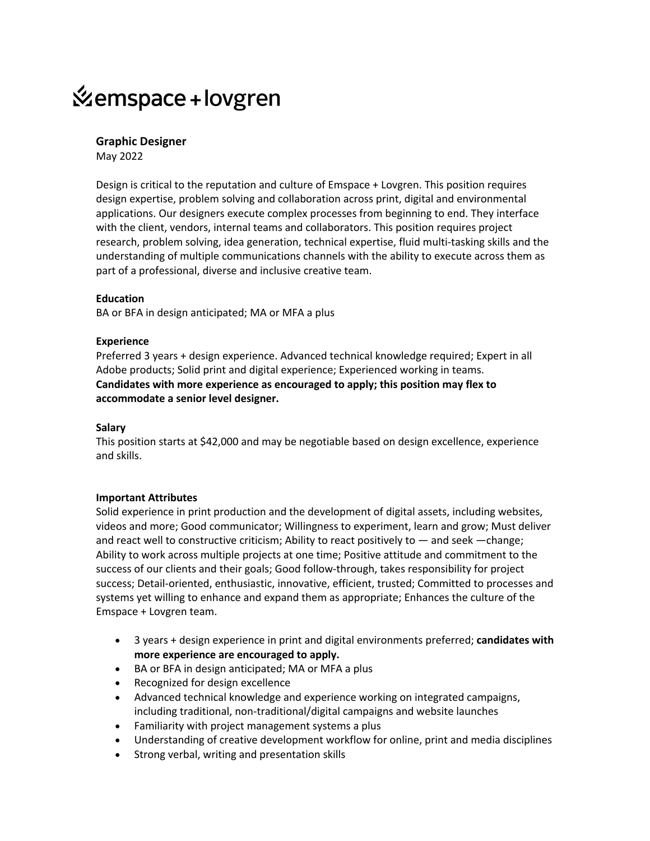# *K*emspace + lovgren

## **Graphic Designer**

May 2022

Design is critical to the reputation and culture of Emspace + Lovgren. This position requires design expertise, problem solving and collaboration across print, digital and environmental applications. Our designers execute complex processes from beginning to end. They interface with the client, vendors, internal teams and collaborators. This position requires project research, problem solving, idea generation, technical expertise, fluid multi-tasking skills and the understanding of multiple communications channels with the ability to execute across them as part of a professional, diverse and inclusive creative team.

#### **Education**

BA or BFA in design anticipated; MA or MFA a plus

#### **Experience**

Preferred 3 years + design experience. Advanced technical knowledge required; Expert in all Adobe products; Solid print and digital experience; Experienced working in teams. **Candidates with more experience as encouraged to apply; this position may flex to accommodate a senior level designer.**

#### **Salary**

This position starts at \$42,000 and may be negotiable based on design excellence, experience and skills.

### **Important Attributes**

Solid experience in print production and the development of digital assets, including websites, videos and more; Good communicator; Willingness to experiment, learn and grow; Must deliver and react well to constructive criticism; Ability to react positively to — and seek —change; Ability to work across multiple projects at one time; Positive attitude and commitment to the success of our clients and their goals; Good follow-through, takes responsibility for project success; Detail-oriented, enthusiastic, innovative, efficient, trusted; Committed to processes and systems yet willing to enhance and expand them as appropriate; Enhances the culture of the Emspace + Lovgren team.

- 3 years + design experience in print and digital environments preferred; **candidates with more experience are encouraged to apply.**
- BA or BFA in design anticipated; MA or MFA a plus
- Recognized for design excellence
- Advanced technical knowledge and experience working on integrated campaigns, including traditional, non-traditional/digital campaigns and website launches
- Familiarity with project management systems a plus
- Understanding of creative development workflow for online, print and media disciplines
- Strong verbal, writing and presentation skills